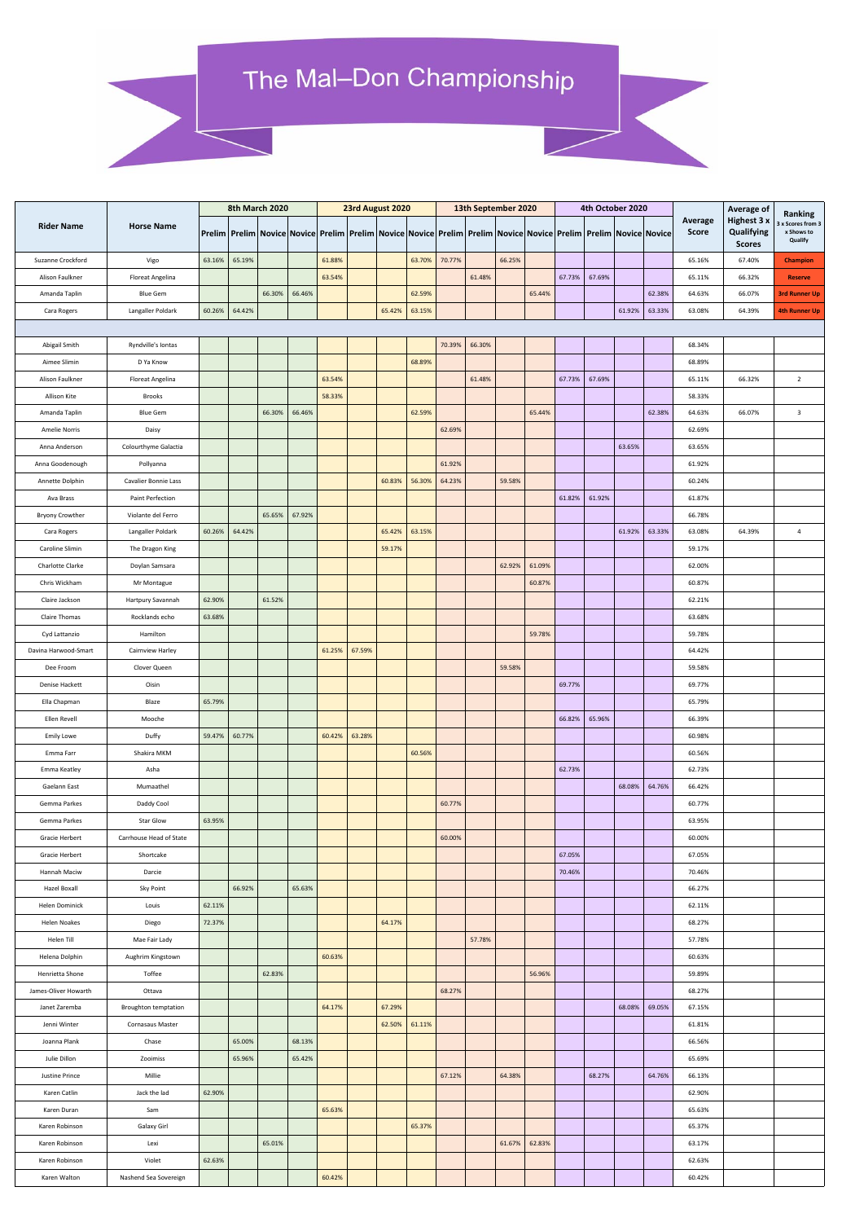## The Mal-Don Championship

|                        |                         | 8th March 2020 |        |        |        | 23rd August 2020 |        |        |        | 13th September 2020 |        |        |        | 4th October 2020 |        |        |                                                                                                                                                        |                  |                                                                 |                                                     |
|------------------------|-------------------------|----------------|--------|--------|--------|------------------|--------|--------|--------|---------------------|--------|--------|--------|------------------|--------|--------|--------------------------------------------------------------------------------------------------------------------------------------------------------|------------------|-----------------------------------------------------------------|-----------------------------------------------------|
| <b>Rider Name</b>      | <b>Horse Name</b>       |                |        |        |        |                  |        |        |        |                     |        |        |        |                  |        |        | Prelim   Prelim   Novice   Novice   Prelim   Prelim   Novice   Novice   Prelim   Prelim   Novice   Novice   Prelim   Prelim   Novice   Novice   Novice | Average<br>Score | <b>Average of</b><br>Highest 3 x<br>Qualifying<br><b>Scores</b> | Ranking<br>x Scores from 3<br>x Shows to<br>Qualify |
| Suzanne Crockford      | Vigo                    | 63.16%         | 65.19% |        |        | 61.88%           |        |        | 63.70% | 70.77%              |        | 66.25% |        |                  |        |        |                                                                                                                                                        | 65.16%           | 67.40%                                                          | <b>Champion</b>                                     |
| Alison Faulkner        | Floreat Angelina        |                |        |        |        | 63.54%           |        |        |        |                     | 61.48% |        |        | 67.73%           | 67.69% |        |                                                                                                                                                        | 65.11%           | 66.32%                                                          | <b>Reserve</b>                                      |
| Amanda Taplin          | <b>Blue Gem</b>         |                |        | 66.30% | 66.46% |                  |        |        | 62.59% |                     |        |        | 65.44% |                  |        |        | 62.38%                                                                                                                                                 | 64.63%           | 66.07%                                                          | <b>3rd Runner Up</b>                                |
| Cara Rogers            | Langaller Poldark       | 60.26%         | 64.42% |        |        |                  |        | 65.42% | 63.15% |                     |        |        |        |                  |        | 61.92% | 63.33%                                                                                                                                                 | 63.08%           | 64.39%                                                          | <b>4th Runner Up</b>                                |
|                        |                         |                |        |        |        |                  |        |        |        |                     |        |        |        |                  |        |        |                                                                                                                                                        |                  |                                                                 |                                                     |
| Abigail Smith          | Ryndville's Iontas      |                |        |        |        |                  |        |        |        | 70.39%              | 66.30% |        |        |                  |        |        |                                                                                                                                                        | 68.34%           |                                                                 |                                                     |
| Aimee Slimin           | D Ya Know               |                |        |        |        |                  |        |        | 68.89% |                     |        |        |        |                  |        |        |                                                                                                                                                        | 68.89%           |                                                                 |                                                     |
|                        |                         |                |        |        |        |                  |        |        |        |                     |        |        |        |                  |        |        |                                                                                                                                                        |                  |                                                                 |                                                     |
| Alison Faulkner        | Floreat Angelina        |                |        |        |        | 63.54%           |        |        |        |                     | 61.48% |        |        | 67.73%           | 67.69% |        |                                                                                                                                                        | 65.11%           | 66.32%                                                          | $\overline{2}$                                      |
| Allison Kite           | <b>Brooks</b>           |                |        |        |        | 58.33%           |        |        |        |                     |        |        |        |                  |        |        |                                                                                                                                                        | 58.33%           |                                                                 |                                                     |
| Amanda Taplin          | <b>Blue Gem</b>         |                |        | 66.30% | 66.46% |                  |        |        | 62.59% |                     |        |        | 65.44% |                  |        |        | 62.38%                                                                                                                                                 | 64.63%           | 66.07%                                                          | $\overline{\mathbf{3}}$                             |
| Amelie Norris          | Daisy                   |                |        |        |        |                  |        |        |        | 62.69%              |        |        |        |                  |        |        |                                                                                                                                                        | 62.69%           |                                                                 |                                                     |
| Anna Anderson          | Colourthyme Galactia    |                |        |        |        |                  |        |        |        |                     |        |        |        |                  |        | 63.65% |                                                                                                                                                        | 63.65%           |                                                                 |                                                     |
| Anna Goodenough        | Pollyanna               |                |        |        |        |                  |        |        |        | 61.92%              |        |        |        |                  |        |        |                                                                                                                                                        | 61.92%           |                                                                 |                                                     |
| Annette Dolphin        | Cavalier Bonnie Lass    |                |        |        |        |                  |        | 60.83% | 56.30% | 64.23%              |        | 59.58% |        |                  |        |        |                                                                                                                                                        | 60.24%           |                                                                 |                                                     |
| Ava Brass              | Paint Perfection        |                |        |        |        |                  |        |        |        |                     |        |        |        | 61.82%           | 61.92% |        |                                                                                                                                                        | 61.87%           |                                                                 |                                                     |
| <b>Bryony Crowther</b> | Violante del Ferro      |                |        | 65.65% | 67.92% |                  |        |        |        |                     |        |        |        |                  |        |        |                                                                                                                                                        | 66.78%           |                                                                 |                                                     |
| Cara Rogers            | Langaller Poldark       | 60.26%         | 64.42% |        |        |                  |        | 65.42% | 63.15% |                     |        |        |        |                  |        | 61.92% | 63.33%                                                                                                                                                 | 63.08%           | 64.39%                                                          | $\overline{4}$                                      |
| Caroline Slimin        | The Dragon King         |                |        |        |        |                  |        | 59.17% |        |                     |        |        |        |                  |        |        |                                                                                                                                                        | 59.17%           |                                                                 |                                                     |
| Charlotte Clarke       | Doylan Samsara          |                |        |        |        |                  |        |        |        |                     |        | 62.92% | 61.09% |                  |        |        |                                                                                                                                                        | 62.00%           |                                                                 |                                                     |
| Chris Wickham          | Mr Montague             |                |        |        |        |                  |        |        |        |                     |        |        | 60.87% |                  |        |        |                                                                                                                                                        | 60.87%           |                                                                 |                                                     |
| Claire Jackson         | Hartpury Savannah       | 62.90%         |        | 61.52% |        |                  |        |        |        |                     |        |        |        |                  |        |        |                                                                                                                                                        | 62.21%           |                                                                 |                                                     |
| Claire Thomas          | Rocklands echo          | 63.68%         |        |        |        |                  |        |        |        |                     |        |        |        |                  |        |        |                                                                                                                                                        | 63.68%           |                                                                 |                                                     |
| Cyd Lattanzio          | Hamilton                |                |        |        |        |                  |        |        |        |                     |        |        | 59.78% |                  |        |        |                                                                                                                                                        | 59.78%           |                                                                 |                                                     |
| Davina Harwood-Smart   | Cairnview Harley        |                |        |        |        | 61.25%           | 67.59% |        |        |                     |        |        |        |                  |        |        |                                                                                                                                                        | 64.42%           |                                                                 |                                                     |
| Dee Froom              | Clover Queen            |                |        |        |        |                  |        |        |        |                     |        | 59.58% |        |                  |        |        |                                                                                                                                                        | 59.58%           |                                                                 |                                                     |
| Denise Hackett         | Oisin                   |                |        |        |        |                  |        |        |        |                     |        |        |        | 69.77%           |        |        |                                                                                                                                                        | 69.77%           |                                                                 |                                                     |
| Ella Chapman           | Blaze                   | 65.79%         |        |        |        |                  |        |        |        |                     |        |        |        |                  |        |        |                                                                                                                                                        | 65.79%           |                                                                 |                                                     |
| Ellen Revell           | Mooche                  |                |        |        |        |                  |        |        |        |                     |        |        |        | 66.82%           | 65.96% |        |                                                                                                                                                        | 66.39%           |                                                                 |                                                     |
| <b>Emily Lowe</b>      | Duffy                   | 59.47%         | 60.77% |        |        | 60.42%           | 63.28% |        |        |                     |        |        |        |                  |        |        |                                                                                                                                                        | 60.98%           |                                                                 |                                                     |
| Emma Farr              | Shakira MKM             |                |        |        |        |                  |        |        | 60.56% |                     |        |        |        |                  |        |        |                                                                                                                                                        | 60.56%           |                                                                 |                                                     |
| Emma Keatley           | Asha                    |                |        |        |        |                  |        |        |        |                     |        |        |        | 62.73%           |        |        |                                                                                                                                                        | 62.73%           |                                                                 |                                                     |
| Gaelann East           | Mumaathel               |                |        |        |        |                  |        |        |        |                     |        |        |        |                  |        | 68.08% | 64.76%                                                                                                                                                 | 66.42%           |                                                                 |                                                     |
| Gemma Parkes           | Daddy Cool              |                |        |        |        |                  |        |        |        | 60.77%              |        |        |        |                  |        |        |                                                                                                                                                        | 60.77%           |                                                                 |                                                     |
| Gemma Parkes           | Star Glow               | 63.95%         |        |        |        |                  |        |        |        |                     |        |        |        |                  |        |        |                                                                                                                                                        | 63.95%           |                                                                 |                                                     |
| Gracie Herbert         | Carrhouse Head of State |                |        |        |        |                  |        |        |        | 60.00%              |        |        |        |                  |        |        |                                                                                                                                                        | 60.00%           |                                                                 |                                                     |
| Gracie Herbert         | Shortcake               |                |        |        |        |                  |        |        |        |                     |        |        |        | 67.05%           |        |        |                                                                                                                                                        | 67.05%           |                                                                 |                                                     |
| Hannah Maciw           | Darcie                  |                |        |        |        |                  |        |        |        |                     |        |        |        | 70.46%           |        |        |                                                                                                                                                        | 70.46%           |                                                                 |                                                     |
| Hazel Boxall           | Sky Point               |                | 66.92% |        | 65.63% |                  |        |        |        |                     |        |        |        |                  |        |        |                                                                                                                                                        | 66.27%           |                                                                 |                                                     |
| Helen Dominick         | Louis                   | 62.11%         |        |        |        |                  |        |        |        |                     |        |        |        |                  |        |        |                                                                                                                                                        | 62.11%           |                                                                 |                                                     |
| Helen Noakes           | Diego                   | 72.37%         |        |        |        |                  |        | 64.17% |        |                     |        |        |        |                  |        |        |                                                                                                                                                        | 68.27%           |                                                                 |                                                     |
| Helen Till             | Mae Fair Lady           |                |        |        |        |                  |        |        |        |                     | 57.78% |        |        |                  |        |        |                                                                                                                                                        | 57.78%           |                                                                 |                                                     |
| Helena Dolphin         | Aughrim Kingstown       |                |        |        |        | 60.63%           |        |        |        |                     |        |        |        |                  |        |        |                                                                                                                                                        | 60.63%           |                                                                 |                                                     |
| Henrietta Shone        | Toffee                  |                |        | 62.83% |        |                  |        |        |        |                     |        |        | 56.96% |                  |        |        |                                                                                                                                                        | 59.89%           |                                                                 |                                                     |
| James-Oliver Howarth   | Ottava                  |                |        |        |        |                  |        |        |        | 68.27%              |        |        |        |                  |        |        |                                                                                                                                                        | 68.27%           |                                                                 |                                                     |
| Janet Zaremba          | Broughton temptation    |                |        |        |        | 64.17%           |        | 67.29% |        |                     |        |        |        |                  |        | 68.08% | 69.05%                                                                                                                                                 | 67.15%           |                                                                 |                                                     |
| Jenni Winter           | Cornasaus Master        |                |        |        |        |                  |        | 62.50% | 61.11% |                     |        |        |        |                  |        |        |                                                                                                                                                        | 61.81%           |                                                                 |                                                     |
| Joanna Plank           | Chase                   |                | 65.00% |        | 68.13% |                  |        |        |        |                     |        |        |        |                  |        |        |                                                                                                                                                        | 66.56%           |                                                                 |                                                     |
| Julie Dillon           | Zooimiss                |                | 65.96% |        | 65.42% |                  |        |        |        |                     |        |        |        |                  |        |        |                                                                                                                                                        | 65.69%           |                                                                 |                                                     |
| Justine Prince         | Millie                  |                |        |        |        |                  |        |        |        | 67.12%              |        | 64.38% |        |                  | 68.27% |        | 64.76%                                                                                                                                                 | 66.13%           |                                                                 |                                                     |
| Karen Catlin           | Jack the lad            | 62.90%         |        |        |        |                  |        |        |        |                     |        |        |        |                  |        |        |                                                                                                                                                        | 62.90%           |                                                                 |                                                     |
| Karen Duran            | Sam                     |                |        |        |        | 65.63%           |        |        |        |                     |        |        |        |                  |        |        |                                                                                                                                                        | 65.63%           |                                                                 |                                                     |
| Karen Robinson         | Galaxy Girl             |                |        |        |        |                  |        |        | 65.37% |                     |        |        |        |                  |        |        |                                                                                                                                                        | 65.37%           |                                                                 |                                                     |
| Karen Robinson         | Lexi                    |                |        | 65.01% |        |                  |        |        |        |                     |        | 61.67% | 62.83% |                  |        |        |                                                                                                                                                        | 63.17%           |                                                                 |                                                     |
| Karen Robinson         | Violet                  | 62.63%         |        |        |        |                  |        |        |        |                     |        |        |        |                  |        |        |                                                                                                                                                        | 62.63%           |                                                                 |                                                     |
| Karen Walton           | Nashend Sea Sovereign   |                |        |        |        | 60.42%           |        |        |        |                     |        |        |        |                  |        |        |                                                                                                                                                        | 60.42%           |                                                                 |                                                     |